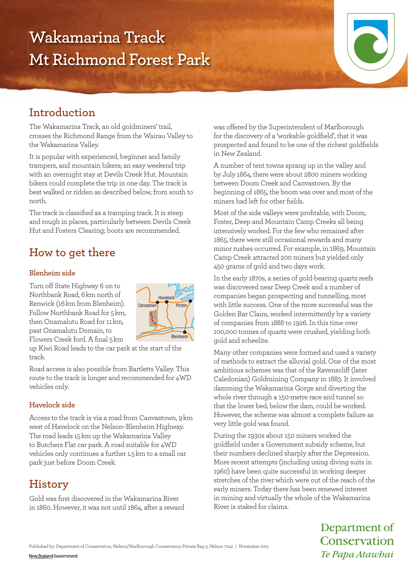# **Wakamarina Track Mt Richmond Forest Park**



# **Introduction**

The Wakamarina Track, an old goldminers' trail, crosses the Richmond Range from the Wairau Valley to the Wakamarina Valley.

It is popular with experienced, beginner and family trampers, and mountain bikers; an easy weekend trip with an overnight stay at Devils Creek Hut. Mountain bikers could complete the trip in one day. The track is best walked or ridden as described below, from south to north.

The track is classified as a tramping track. It is steep and rough in places, particularly between Devils Creek Hut and Fosters Clearing; boots are recommended.

# **How to get there**

#### **Blenheim side**

Turn off State Highway 6 on to Northbank Road, 6km north of Renwick (16km from Blenheim). Follow Northbank Road for 5km, then Onamalutu Road for 11km, past Onamalutu Domain, to Flowers Creek ford. A final 5km



up Kiwi Road leads to the car park at the start of the track.

Road access is also possible from Bartletts Valley. This route to the track is longer and recommended for 4WD vehicles only.

#### **Havelock side**

Access to the track is via a road from Canvastown, 9km west of Havelock on the Nelson–Blenheim Highway. The road leads 15km up the Wakamarina Valley to Butchers Flat car park. A road suitable for 4WD vehicles only continues a further 1.5km to a small car park just before Doom Creek.

# **History**

Gold was first discovered in the Wakamarina River in 1860. However, it was not until 1864, after a reward was offered by the Superintendent of Marlborough for the discovery of a 'workable goldfield', that it was prospected and found to be one of the richest goldfields in New Zealand.

A number of tent towns sprang up in the valley and by July 1864, there were about 2800 miners working between Doom Creek and Canvastown. By the beginning of 1865, the boom was over and most of the miners had left for other fields.

Most of the side valleys were profitable, with Doom, Foster, Deep and Mountain Camp Creeks all being intensively worked. For the few who remained after 1865, there were still occasional rewards and many minor rushes occurred. For example, in 1869, Mountain Camp Creek attracted 200 miners but yielded only 450 grams of gold and two days work.

In the early 1870s, a series of gold-bearing quartz reefs was discovered near Deep Creek and a number of companies began prospecting and tunnelling, most with little success. One of the more successful was the Golden Bar Claim, worked intermittently by a variety of companies from 1888 to 1926. In this time over 100,000 tonnes of quartz were crushed, yielding both gold and scheelite.

Many other companies were formed and used a variety of methods to extract the alluvial gold. One of the most ambitious schemes was that of the Ravenscliff (later Caledonian) Goldmining Company in 1883. It involved damming the Wakamarina Gorge and diverting the whole river through a 150-metre race and tunnel so that the lower bed, below the dam, could be worked. However, the scheme was almost a complete failure as very little gold was found.

During the 1930s about 150 miners worked the goldfield under a Government subsidy scheme, but their numbers declined sharply after the Depression. More recent attempts (including using diving suits in 1960) have been quite successful in working deeper stretches of the river which were out of the reach of the early miners. Today there has been renewed interest in mining and virtually the whole of the Wakamarina River is staked for claims.

> Department of Conservation Te Papa Atawhai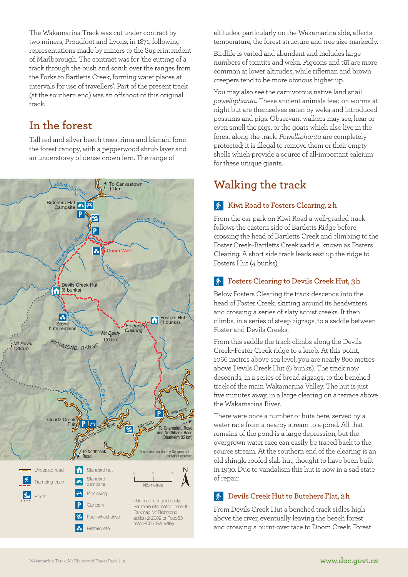The Wakamarina Track was cut under contract by two miners, Proudfoot and Lyons, in 1871, following representations made by miners to the Superintendent of Marlborough. The contract was for 'the cutting of a track through the bush and scrub over the ranges from the Forks to Bartletts Creek, forming water places at intervals for use of travellers'. Part of the present track (at the southern end) was an offshoot of this original track.

## **In the forest**

Tall red and silver beech trees, rimu and kāmahi form the forest canopy, with a pepperwood shrub layer and an understorey of dense crown fern. The range of



altitudes, particularly on the Wakamarina side, affects temperature, the forest structure and tree size markedly.

Birdlife is varied and abundant and includes large numbers of tomtits and weka. Pigeons and tūī are more common at lower altitudes, while rifleman and brown creepers tend to be more obvious higher up.

You may also see the carnivorous native land snail *powelliphanta*. These ancient animals feed on worms at night but are themselves eaten by weka and introduced possums and pigs. Observant walkers may see, hear or even smell the pigs, or the goats which also live in the forest along the track. *Powelliphanta* are completely protected; it is illegal to remove them or their empty shells which provide a source of all-important calcium for these unique giants.

# **Walking the track**

### **Kiwi Road to Fosters Clearing, 2-h**

From the car park on Kiwi Road a well-graded track follows the eastern side of Bartletts Ridge before crossing the head of Bartletts Creek and climbing to the Foster Creek–Bartletts Creek saddle, known as Fosters Clearing. A short side track leads east up the ridge to Fosters Hut (4 bunks).

### **Fosters Clearing to Devils Creek Hut, 3h**

Below Fosters Clearing the track descends into the head of Foster Creek, skirting around its headwaters and crossing a series of slaty schist creeks. It then climbs, in a series of steep zigzags, to a saddle between Foster and Devils Creeks.

From this saddle the track climbs along the Devils Creek–Foster Creek ridge to a knob. At this point, 1066 metres above sea level, you are nearly 800 metres above Devils Creek Hut (6 bunks). The track now descends, in a series of broad zigzags, to the benched track of the main Wakamarina Valley. The hut is just five minutes away, in a large clearing on a terrace above the Wakamarina River.

There were once a number of huts here, served by a water race from a nearby stream to a pond. All that remains of the pond is a large depression, but the overgrown water race can easily be traced back to the source stream. At the southern end of the clearing is an old shingle roofed slab hut, thought to have been built in 1930. Due to vandalism this hut is now in a sad state of repair.

### **Devils Creek Hut to Butchers Flat, 2-h**

From Devils Creek Hut a benched track sidles high above the river, eventually leaving the beech forest and crossing a burnt-over face to Doom Creek. Forest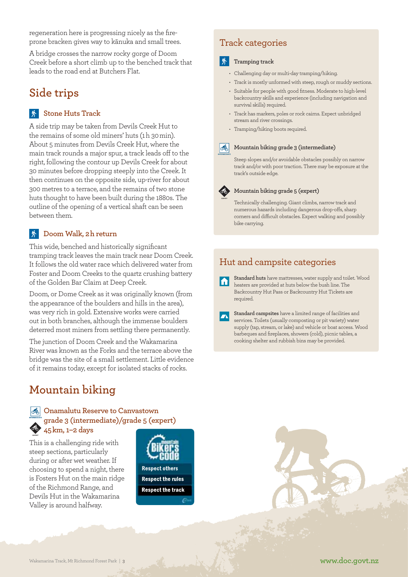regeneration here is progressing nicely as the fireprone bracken gives way to kānuka and small trees.

A bridge crosses the narrow rocky gorge of Doom Creek before a short climb up to the benched track that leads to the road end at Butchers Flat.

# **Side trips**

#### **K** Stone Huts Track

A side trip may be taken from Devils Creek Hut to the remains of some old miners' huts (1h 30min). About 5 minutes from Devils Creek Hut, where the main track rounds a major spur, a track leads off to the right, following the contour up Devils Creek for about 30 minutes before dropping steeply into the Creek. It then continues on the opposite side, up-river for about 300 metres to a terrace, and the remains of two stone huts thought to have been built during the 1880s. The outline of the opening of a vertical shaft can be seen between them.

### Doom Walk, 2h return

This wide, benched and historically significant tramping track leaves the main track near Doom Creek. It follows the old water race which delivered water from Foster and Doom Creeks to the quartz crushing battery of the Golden Bar Claim at Deep Creek.

Doom, or Dome Creek as it was originally known (from the appearance of the boulders and hills in the area), was very rich in gold. Extensive works were carried out in both branches, although the immense boulders deterred most miners from settling there permanently.

The junction of Doom Creek and the Wakamarina River was known as the Forks and the terrace above the bridge was the site of a small settlement. Little evidence of it remains today, except for isolated stacks of rocks.

# **Mountain biking**

#### **Onamalutu Reserve to Canvastown grade 3 (intermediate)/grade 5 (expert) 45-km, 1–2 days**

This is a challenging ride with steep sections, particularly during or after wet weather. If choosing to spend a night, there is Fosters Hut on the main ridge of the Richmond Range, and Devils Hut in the Wakamarina Valley is around halfway.



### Track categories

#### **术** Tramping track

- Challenging day or multi-day tramping/hiking.
- Track is mostly unformed with steep, rough or muddy sections.
- Suitable for people with good fitness. Moderate to high-level backcountry skills and experience (including navigation and survival skills) required.
- Track has markers, poles or rock cairns. Expect unbridged stream and river crossings.
- Tramping/hiking boots required.

#### Mountain biking grade 3 (intermediate)

Steep slopes and/or avoidable obstacles possibly on narrow track and/or with poor traction. There may be exposure at the track's outside edge.

#### **Mountain biking grade 5 (expert)**

Technically challenging. Giant climbs, narrow track and numerous hazards including dangerous drop-offs, sharp corners and difficult obstacles. Expect walking and possibly bike carrying.

## Hut and campsite categories

**Standard huts** have mattresses, water supply and toilet. Wood M heaters are provided at huts below the bush line. The Back country Hut Pass or Back country Hut Tickets are required.

**Standard campsites** have a limited range of facilities and services. Toilets (usually composting or pit variety) water supply (tap, stream, or lake) and vehicle or boat access. Wood barbeques and fireplaces, showers (cold), picnic tables, a cooking shelter and rubbish bins may be provided.